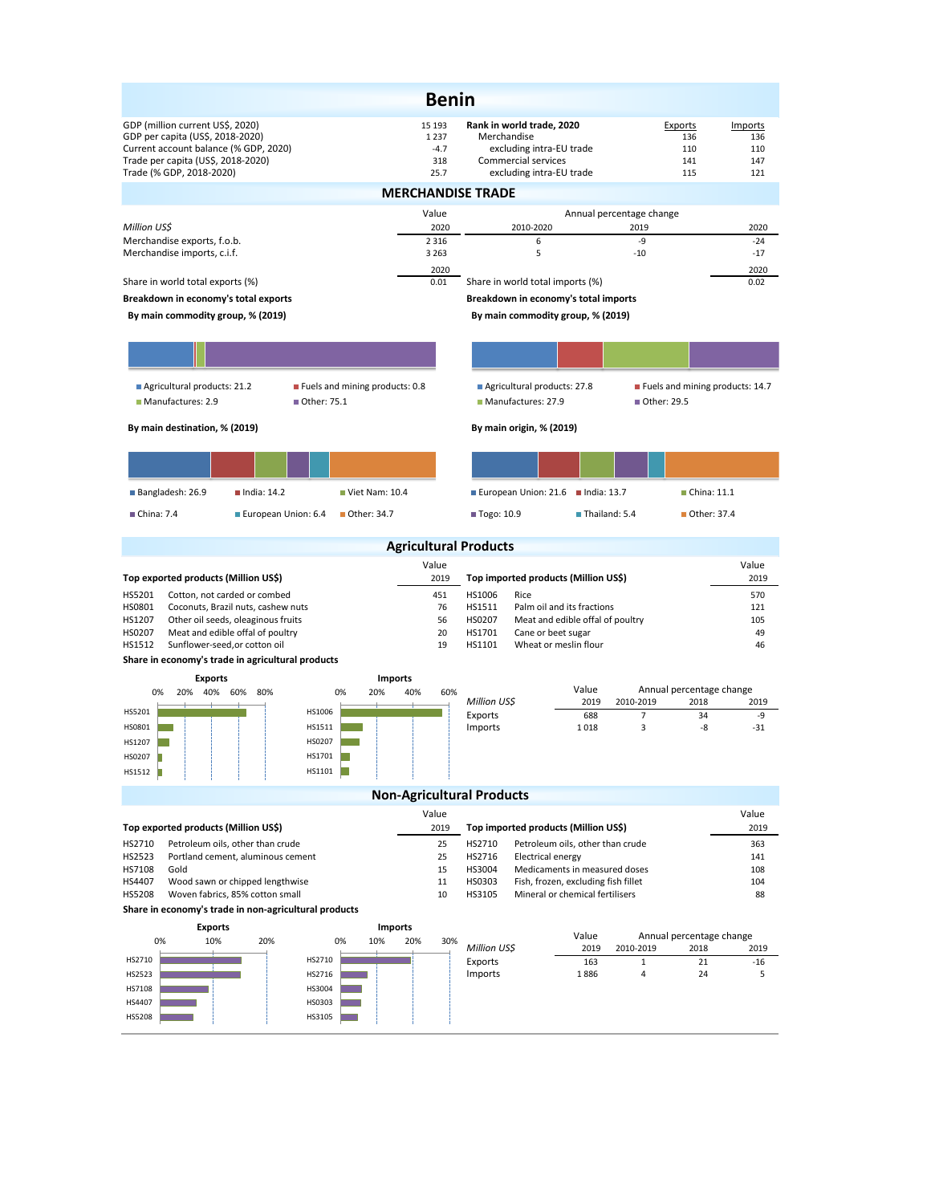| <b>Benin</b>                                                                                                                                                                    |                                            |                                                                                                                         |                                               |                                     |  |  |  |  |  |  |
|---------------------------------------------------------------------------------------------------------------------------------------------------------------------------------|--------------------------------------------|-------------------------------------------------------------------------------------------------------------------------|-----------------------------------------------|-------------------------------------|--|--|--|--|--|--|
| GDP (million current US\$, 2020)<br>GDP per capita (US\$, 2018-2020)<br>Current account balance (% GDP, 2020)<br>Trade per capita (US\$, 2018-2020)<br>Trade (% GDP, 2018-2020) | 15 193<br>1 2 3 7<br>$-4.7$<br>318<br>25.7 | Rank in world trade, 2020<br>Merchandise<br>excluding intra-EU trade<br>Commercial services<br>excluding intra-EU trade | Exports<br>136<br>110<br>141<br>115           | Imports<br>136<br>110<br>147<br>121 |  |  |  |  |  |  |
| <b>MERCHANDISE TRADE</b>                                                                                                                                                        |                                            |                                                                                                                         |                                               |                                     |  |  |  |  |  |  |
| Value<br>Annual percentage change                                                                                                                                               |                                            |                                                                                                                         |                                               |                                     |  |  |  |  |  |  |
| Million US\$                                                                                                                                                                    | 2020                                       | 2010-2020                                                                                                               | 2019                                          | 2020                                |  |  |  |  |  |  |
| Merchandise exports, f.o.b.                                                                                                                                                     | 2 3 1 6                                    | 6                                                                                                                       | -9                                            | $-24$                               |  |  |  |  |  |  |
| Merchandise imports, c.i.f.                                                                                                                                                     | 3 2 6 3                                    | 5                                                                                                                       | $-10$                                         | $-17$                               |  |  |  |  |  |  |
|                                                                                                                                                                                 | 2020                                       |                                                                                                                         |                                               | 2020                                |  |  |  |  |  |  |
| Share in world total exports (%)                                                                                                                                                | 0.01                                       | Share in world total imports (%)                                                                                        |                                               | 0.02                                |  |  |  |  |  |  |
| Breakdown in economy's total exports                                                                                                                                            |                                            | Breakdown in economy's total imports                                                                                    |                                               |                                     |  |  |  |  |  |  |
| By main commodity group, % (2019)                                                                                                                                               |                                            | By main commodity group, % (2019)                                                                                       |                                               |                                     |  |  |  |  |  |  |
|                                                                                                                                                                                 |                                            |                                                                                                                         |                                               |                                     |  |  |  |  |  |  |
|                                                                                                                                                                                 |                                            |                                                                                                                         |                                               |                                     |  |  |  |  |  |  |
|                                                                                                                                                                                 |                                            |                                                                                                                         |                                               |                                     |  |  |  |  |  |  |
|                                                                                                                                                                                 |                                            |                                                                                                                         |                                               |                                     |  |  |  |  |  |  |
| Agricultural products: 21.2<br>Fuels and mining products: 0.8                                                                                                                   |                                            | Agricultural products: 27.8                                                                                             | Fuels and mining products: 14.7               |                                     |  |  |  |  |  |  |
| Manufactures: 2.9<br>Other: 75.1                                                                                                                                                |                                            | Manufactures: 27.9                                                                                                      | ■ Other: 29.5                                 |                                     |  |  |  |  |  |  |
|                                                                                                                                                                                 |                                            |                                                                                                                         |                                               |                                     |  |  |  |  |  |  |
| By main destination, % (2019)<br>By main origin, % (2019)                                                                                                                       |                                            |                                                                                                                         |                                               |                                     |  |  |  |  |  |  |
|                                                                                                                                                                                 |                                            |                                                                                                                         |                                               |                                     |  |  |  |  |  |  |
|                                                                                                                                                                                 |                                            |                                                                                                                         |                                               |                                     |  |  |  |  |  |  |
|                                                                                                                                                                                 |                                            |                                                                                                                         |                                               |                                     |  |  |  |  |  |  |
| Bangladesh: 26.9<br>$\blacksquare$ India: 14.2<br>European Union: 21.6 India: 13.7<br>■ China: 11.1<br>$\blacksquare$ Viet Nam: 10.4                                            |                                            |                                                                                                                         |                                               |                                     |  |  |  |  |  |  |
| China: 7.4<br>European Union: 6.4<br>Other: 34.7                                                                                                                                |                                            | ■ Togo: 10.9<br>Thailand: 5.4                                                                                           | ■ Other: 37.4                                 |                                     |  |  |  |  |  |  |
|                                                                                                                                                                                 |                                            |                                                                                                                         |                                               |                                     |  |  |  |  |  |  |
|                                                                                                                                                                                 |                                            |                                                                                                                         |                                               |                                     |  |  |  |  |  |  |
|                                                                                                                                                                                 | <b>Agricultural Products</b>               |                                                                                                                         |                                               |                                     |  |  |  |  |  |  |
|                                                                                                                                                                                 | Value                                      |                                                                                                                         |                                               | Value                               |  |  |  |  |  |  |
|                                                                                                                                                                                 |                                            |                                                                                                                         |                                               |                                     |  |  |  |  |  |  |
| Top exported products (Million US\$)                                                                                                                                            | 2019                                       | Top imported products (Million US\$)                                                                                    |                                               | 2019                                |  |  |  |  |  |  |
| HS5201<br>Cotton, not carded or combed                                                                                                                                          | 451                                        | HS1006<br>Rice                                                                                                          |                                               | 570                                 |  |  |  |  |  |  |
| HS0801<br>Coconuts, Brazil nuts, cashew nuts                                                                                                                                    | 76                                         | HS1511<br>Palm oil and its fractions                                                                                    |                                               | 121                                 |  |  |  |  |  |  |
| HS1207<br>Other oil seeds, oleaginous fruits                                                                                                                                    | 56<br>20                                   | HS0207<br>Meat and edible offal of poultry                                                                              |                                               | 105                                 |  |  |  |  |  |  |
| HS0207<br>Meat and edible offal of poultry<br>HS1512<br>Sunflower-seed, or cotton oil                                                                                           | 19                                         | HS1701<br>Cane or beet sugar<br>HS1101<br>Wheat or meslin flour                                                         |                                               | 49<br>46                            |  |  |  |  |  |  |
| Share in economy's trade in agricultural products                                                                                                                               |                                            |                                                                                                                         |                                               |                                     |  |  |  |  |  |  |
|                                                                                                                                                                                 |                                            |                                                                                                                         |                                               |                                     |  |  |  |  |  |  |
| <b>Exports</b>                                                                                                                                                                  | <b>Imports</b>                             | Value                                                                                                                   |                                               |                                     |  |  |  |  |  |  |
| 0%<br>0%<br>20% 40% 60% 80%<br>20%                                                                                                                                              | 40%<br>60%                                 | <b>Million USS</b><br>2019                                                                                              | Annual percentage change<br>2010-2019<br>2018 | 2019                                |  |  |  |  |  |  |
| HS5201<br>HS1006                                                                                                                                                                |                                            | Exports<br>688                                                                                                          | $\overline{7}$<br>34                          | -9                                  |  |  |  |  |  |  |
| HS0801<br>HS1511                                                                                                                                                                |                                            | Imports<br>1018                                                                                                         | 3<br>-8                                       | -31                                 |  |  |  |  |  |  |
| HS0207<br>HS1207                                                                                                                                                                |                                            |                                                                                                                         |                                               |                                     |  |  |  |  |  |  |
| HS1701<br>HS0207                                                                                                                                                                |                                            |                                                                                                                         |                                               |                                     |  |  |  |  |  |  |
| HS1101<br>HS1512                                                                                                                                                                |                                            |                                                                                                                         |                                               |                                     |  |  |  |  |  |  |
|                                                                                                                                                                                 |                                            |                                                                                                                         |                                               |                                     |  |  |  |  |  |  |
|                                                                                                                                                                                 | <b>Non-Agricultural Products</b>           |                                                                                                                         |                                               |                                     |  |  |  |  |  |  |
|                                                                                                                                                                                 | Value                                      |                                                                                                                         |                                               | Value                               |  |  |  |  |  |  |
| Top exported products (Million US\$)                                                                                                                                            | 2019                                       | Top imported products (Million US\$)                                                                                    |                                               | 2019                                |  |  |  |  |  |  |
| HS2710<br>Petroleum oils, other than crude                                                                                                                                      | 25                                         | HS2710<br>Petroleum oils, other than crude                                                                              |                                               | 363                                 |  |  |  |  |  |  |
| HS2523<br>Portland cement, aluminous cement<br>HS7108<br>Gold                                                                                                                   | 25<br>15                                   | HS2716<br><b>Electrical energy</b><br>HS3004<br>Medicaments in measured doses                                           |                                               | 141<br>108                          |  |  |  |  |  |  |
| HS4407<br>Wood sawn or chipped lengthwise                                                                                                                                       | 11                                         | HS0303<br>Fish, frozen, excluding fish fillet                                                                           |                                               | 104                                 |  |  |  |  |  |  |
| HS5208<br>Woven fabrics, 85% cotton small                                                                                                                                       | 10                                         | HS3105<br>Mineral or chemical fertilisers                                                                               |                                               | 88                                  |  |  |  |  |  |  |
| Share in economy's trade in non-agricultural products                                                                                                                           |                                            |                                                                                                                         |                                               |                                     |  |  |  |  |  |  |
| <b>Exports</b>                                                                                                                                                                  | <b>Imports</b>                             |                                                                                                                         |                                               |                                     |  |  |  |  |  |  |
| 0%<br>10%<br>20%<br>0%<br>10%                                                                                                                                                   | 20%<br>30%                                 | Value                                                                                                                   | Annual percentage change                      |                                     |  |  |  |  |  |  |
| HS2710<br>HS2710                                                                                                                                                                |                                            | Million US\$<br>2019                                                                                                    | 2010-2019<br>2018<br>$\mathbf{1}$<br>21       | 2019                                |  |  |  |  |  |  |
| HS2523<br>HS2716                                                                                                                                                                |                                            | Exports<br>163<br>Imports<br>1886                                                                                       | 4<br>24                                       | $-16$<br>5                          |  |  |  |  |  |  |
| HS3004<br>HS7108                                                                                                                                                                |                                            |                                                                                                                         |                                               |                                     |  |  |  |  |  |  |
| HS4407<br>HS0303                                                                                                                                                                |                                            |                                                                                                                         |                                               |                                     |  |  |  |  |  |  |